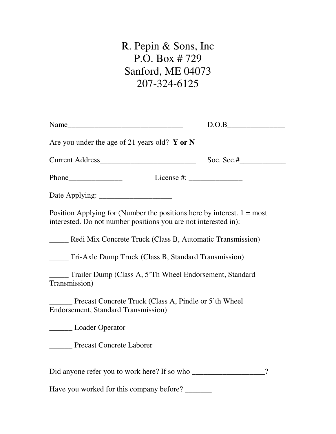# R. Pepin & Sons, Inc P.O. Box # 729 Sanford, ME 04073 207-324-6125

| Name                                                            | D.O.B                                                                                                                                                                                                                                                                                                            |
|-----------------------------------------------------------------|------------------------------------------------------------------------------------------------------------------------------------------------------------------------------------------------------------------------------------------------------------------------------------------------------------------|
| Are you under the age of 21 years old? Y or N                   |                                                                                                                                                                                                                                                                                                                  |
| Current Address                                                 | Soc. Sec.# $\qquad \qquad$                                                                                                                                                                                                                                                                                       |
|                                                                 | License #: $\frac{1}{2}$ $\frac{1}{2}$ $\frac{1}{2}$ $\frac{1}{2}$ $\frac{1}{2}$ $\frac{1}{2}$ $\frac{1}{2}$ $\frac{1}{2}$ $\frac{1}{2}$ $\frac{1}{2}$ $\frac{1}{2}$ $\frac{1}{2}$ $\frac{1}{2}$ $\frac{1}{2}$ $\frac{1}{2}$ $\frac{1}{2}$ $\frac{1}{2}$ $\frac{1}{2}$ $\frac{1}{2}$ $\frac{1}{2}$ $\frac{1}{2}$ |
|                                                                 |                                                                                                                                                                                                                                                                                                                  |
| interested. Do not number positions you are not interested in): | Position Applying for (Number the positions here by interest. $1 = \text{most}$                                                                                                                                                                                                                                  |
|                                                                 | ______ Redi Mix Concrete Truck (Class B, Automatic Transmission)                                                                                                                                                                                                                                                 |
| Tri-Axle Dump Truck (Class B, Standard Transmission)            |                                                                                                                                                                                                                                                                                                                  |
| Transmission)                                                   | Trailer Dump (Class A, 5'Th Wheel Endorsement, Standard                                                                                                                                                                                                                                                          |
| <b>Endorsement, Standard Transmission)</b>                      | Precast Concrete Truck (Class A, Pindle or 5'th Wheel                                                                                                                                                                                                                                                            |
| <b>Loader Operator</b>                                          |                                                                                                                                                                                                                                                                                                                  |
| Precast Concrete Laborer                                        |                                                                                                                                                                                                                                                                                                                  |
|                                                                 | $\overline{\mathcal{L}}$                                                                                                                                                                                                                                                                                         |
| Have you worked for this company before?                        |                                                                                                                                                                                                                                                                                                                  |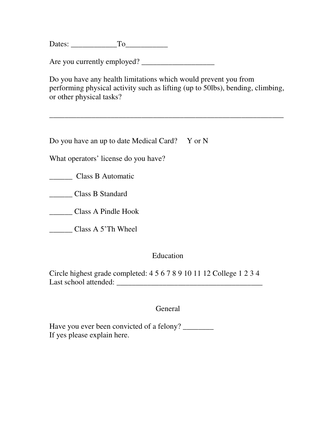Dates: To

Are you currently employed? \_\_\_\_\_\_\_\_\_\_\_\_\_\_\_\_\_\_\_

Do you have any health limitations which would prevent you from performing physical activity such as lifting (up to 50lbs), bending, climbing, or other physical tasks?

\_\_\_\_\_\_\_\_\_\_\_\_\_\_\_\_\_\_\_\_\_\_\_\_\_\_\_\_\_\_\_\_\_\_\_\_\_\_\_\_\_\_\_\_\_\_\_\_\_\_\_\_\_\_\_\_\_\_\_\_\_

Do you have an up to date Medical Card? Y or N

What operators' license do you have?

\_\_\_\_\_\_ Class B Automatic

\_\_\_\_\_\_ Class B Standard

\_\_\_\_\_\_ Class A Pindle Hook

\_\_\_\_\_\_ Class A 5'Th Wheel

## Education

Circle highest grade completed: 4 5 6 7 8 9 10 11 12 College 1 2 3 4 Last school attended:  $\blacksquare$ 

General

Have you ever been convicted of a felony? If yes please explain here.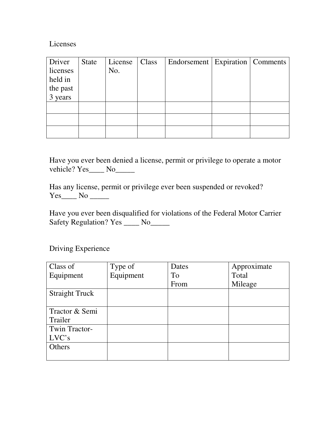#### Licenses

| Driver              | <b>State</b> | License | Class | Endorsement   Expiration   Comments |  |
|---------------------|--------------|---------|-------|-------------------------------------|--|
| licenses            |              | No.     |       |                                     |  |
| held in             |              |         |       |                                     |  |
|                     |              |         |       |                                     |  |
| the past<br>3 years |              |         |       |                                     |  |
|                     |              |         |       |                                     |  |
|                     |              |         |       |                                     |  |
|                     |              |         |       |                                     |  |

Have you ever been denied a license, permit or privilege to operate a motor vehicle? Yes\_\_\_\_ No\_\_\_\_\_

Has any license, permit or privilege ever been suspended or revoked?  $Yes$  No  $\frac{1}{\sqrt{1-\frac{1}{n}}}$ 

Have you ever been disqualified for violations of the Federal Motor Carrier Safety Regulation? Yes \_\_\_\_ No\_\_\_\_

Driving Experience

| Class of              | Type of   | Dates | Approximate |
|-----------------------|-----------|-------|-------------|
| Equipment             | Equipment | To    | Total       |
|                       |           | From  | Mileage     |
| <b>Straight Truck</b> |           |       |             |
|                       |           |       |             |
| Tractor & Semi        |           |       |             |
| Trailer               |           |       |             |
| Twin Tractor-         |           |       |             |
| LVC's                 |           |       |             |
| Others                |           |       |             |
|                       |           |       |             |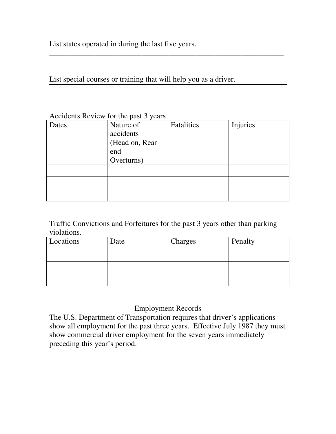List states operated in during the last five years.

#### List special courses or training that will help you as a driver.

## Accidents Review for the past 3 years

| Dates | Nature of<br>accidents<br>(Head on, Rear<br>end | Fatalities | Injuries |
|-------|-------------------------------------------------|------------|----------|
|       | Overturns)                                      |            |          |
|       |                                                 |            |          |
|       |                                                 |            |          |
|       |                                                 |            |          |

\_\_\_\_\_\_\_\_\_\_\_\_\_\_\_\_\_\_\_\_\_\_\_\_\_\_\_\_\_\_\_\_\_\_\_\_\_\_\_\_\_\_\_\_\_\_\_\_\_\_\_\_\_\_\_\_\_\_\_\_\_

#### Traffic Convictions and Forfeitures for the past 3 years other than parking violations.

| Locations | Date | Charges | Penalty |
|-----------|------|---------|---------|
|           |      |         |         |
|           |      |         |         |
|           |      |         |         |

## Employment Records

The U.S. Department of Transportation requires that driver's applications show all employment for the past three years. Effective July 1987 they must show commercial driver employment for the seven years immediately preceding this year's period.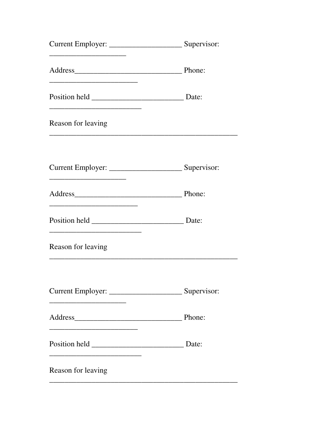| <u> 1950 - Johann John Stein, mars et al. (b. 1950)</u>                                                              |  |
|----------------------------------------------------------------------------------------------------------------------|--|
| Reason for leaving                                                                                                   |  |
|                                                                                                                      |  |
|                                                                                                                      |  |
| <u> 1989 - Johann John Harry, mars eta bat eta bat eta bat eta bat eta bat eta bat eta bat eta bat eta bat eta b</u> |  |
| Reason for leaving                                                                                                   |  |
|                                                                                                                      |  |
|                                                                                                                      |  |
|                                                                                                                      |  |
| Reason for leaving                                                                                                   |  |